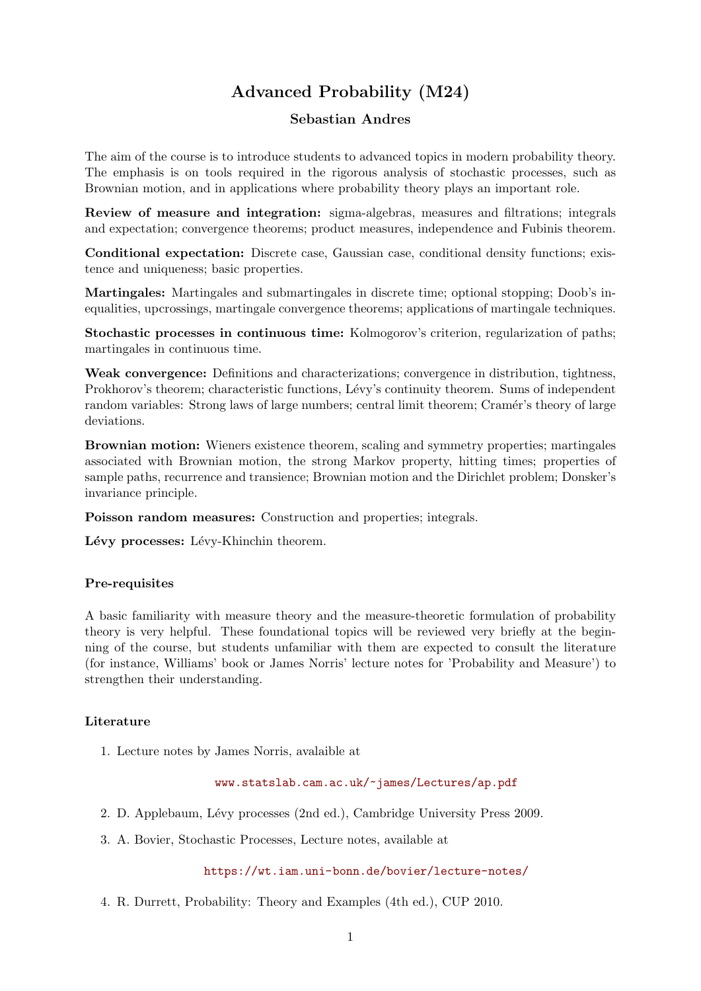# Advanced Probability (M24)

## Sebastian Andres

The aim of the course is to introduce students to advanced topics in modern probability theory. The emphasis is on tools required in the rigorous analysis of stochastic processes, such as Brownian motion, and in applications where probability theory plays an important role.

Review of measure and integration: sigma-algebras, measures and filtrations; integrals and expectation; convergence theorems; product measures, independence and Fubinis theorem.

Conditional expectation: Discrete case, Gaussian case, conditional density functions; existence and uniqueness; basic properties.

Martingales: Martingales and submartingales in discrete time; optional stopping; Doob's inequalities, upcrossings, martingale convergence theorems; applications of martingale techniques.

Stochastic processes in continuous time: Kolmogorov's criterion, regularization of paths; martingales in continuous time.

Weak convergence: Definitions and characterizations; convergence in distribution, tightness, Prokhorov's theorem; characteristic functions, Lévy's continuity theorem. Sums of independent random variables: Strong laws of large numbers; central limit theorem; Cramér's theory of large deviations.

Brownian motion: Wieners existence theorem, scaling and symmetry properties; martingales associated with Brownian motion, the strong Markov property, hitting times; properties of sample paths, recurrence and transience; Brownian motion and the Dirichlet problem; Donsker's invariance principle.

Poisson random measures: Construction and properties; integrals.

Lévy processes: Lévy-Khinchin theorem.

### Pre-requisites

A basic familiarity with measure theory and the measure-theoretic formulation of probability theory is very helpful. These foundational topics will be reviewed very briefly at the beginning of the course, but students unfamiliar with them are expected to consult the literature (for instance, Williams' book or James Norris' lecture notes for 'Probability and Measure') to strengthen their understanding.

### Literature

1. Lecture notes by James Norris, avalaible at

#### <www.statslab.cam.ac.uk/~james/Lectures/ap.pdf>

- 2. D. Applebaum, L´evy processes (2nd ed.), Cambridge University Press 2009.
- 3. A. Bovier, Stochastic Processes, Lecture notes, available at

<https://wt.iam.uni-bonn.de/bovier/lecture-notes/>

4. R. Durrett, Probability: Theory and Examples (4th ed.), CUP 2010.